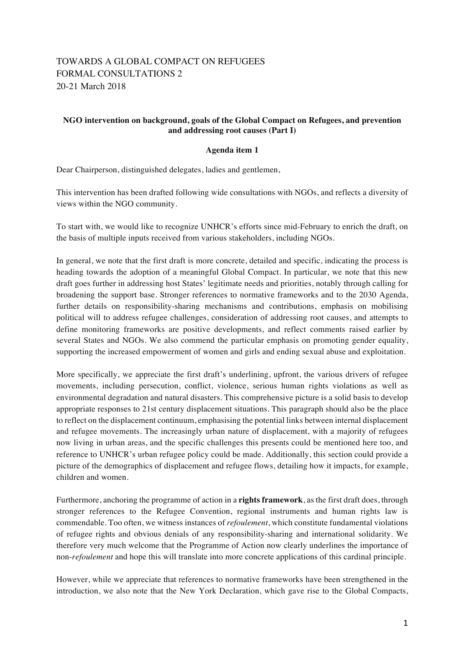## TOWARDS A GLOBAL COMPACT ON REFUGEES FORMAL CONSULTATIONS 2 20-21 March 2018

## **NGO intervention on background, goals of the Global Compact on Refugees, and prevention and addressing root causes (Part I)**

## **Agenda item 1**

Dear Chairperson, distinguished delegates, ladies and gentlemen,

This intervention has been drafted following wide consultations with NGOs, and reflects a diversity of views within the NGO community.

To start with, we would like to recognize UNHCR's efforts since mid-February to enrich the draft, on the basis of multiple inputs received from various stakeholders, including NGOs.

In general, we note that the first draft is more concrete, detailed and specific, indicating the process is heading towards the adoption of a meaningful Global Compact. In particular, we note that this new draft goes further in addressing host States' legitimate needs and priorities, notably through calling for broadening the support base. Stronger references to normative frameworks and to the 2030 Agenda, further details on responsibility-sharing mechanisms and contributions, emphasis on mobilising political will to address refugee challenges, consideration of addressing root causes, and attempts to define monitoring frameworks are positive developments, and reflect comments raised earlier by several States and NGOs. We also commend the particular emphasis on promoting gender equality, supporting the increased empowerment of women and girls and ending sexual abuse and exploitation.

More specifically, we appreciate the first draft's underlining, upfront, the various drivers of refugee movements, including persecution, conflict, violence, serious human rights violations as well as environmental degradation and natural disasters. This comprehensive picture is a solid basis to develop appropriate responses to 21st century displacement situations. This paragraph should also be the place to reflect on the displacement continuum, emphasising the potential links between internal displacement and refugee movements. The increasingly urban nature of displacement, with a majority of refugees now living in urban areas, and the specific challenges this presents could be mentioned here too, and reference to UNHCR's urban refugee policy could be made. Additionally, this section could provide a picture of the demographics of displacement and refugee flows, detailing how it impacts, for example, children and women.

Furthermore, anchoring the programme of action in a **rights framework**, as the first draft does, through stronger references to the Refugee Convention, regional instruments and human rights law is commendable. Too often, we witness instances of *refoulement*, which constitute fundamental violations of refugee rights and obvious denials of any responsibility-sharing and international solidarity. We therefore very much welcome that the Programme of Action now clearly underlines the importance of non-*refoulement* and hope this will translate into more concrete applications of this cardinal principle.

However, while we appreciate that references to normative frameworks have been strengthened in the introduction, we also note that the New York Declaration, which gave rise to the Global Compacts,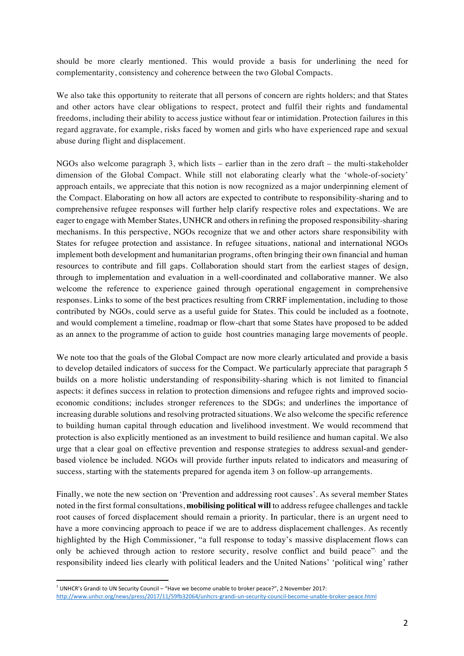should be more clearly mentioned. This would provide a basis for underlining the need for complementarity, consistency and coherence between the two Global Compacts.

We also take this opportunity to reiterate that all persons of concern are rights holders; and that States and other actors have clear obligations to respect, protect and fulfil their rights and fundamental freedoms, including their ability to access justice without fear or intimidation. Protection failures in this regard aggravate, for example, risks faced by women and girls who have experienced rape and sexual abuse during flight and displacement.

NGOs also welcome paragraph 3, which lists – earlier than in the zero draft – the multi-stakeholder dimension of the Global Compact. While still not elaborating clearly what the 'whole-of-society' approach entails, we appreciate that this notion is now recognized as a major underpinning element of the Compact. Elaborating on how all actors are expected to contribute to responsibility-sharing and to comprehensive refugee responses will further help clarify respective roles and expectations. We are eager to engage with Member States, UNHCR and others in refining the proposed responsibility-sharing mechanisms. In this perspective, NGOs recognize that we and other actors share responsibility with States for refugee protection and assistance. In refugee situations, national and international NGOs implement both development and humanitarian programs, often bringing their own financial and human resources to contribute and fill gaps. Collaboration should start from the earliest stages of design, through to implementation and evaluation in a well-coordinated and collaborative manner. We also welcome the reference to experience gained through operational engagement in comprehensive responses. Links to some of the best practices resulting from CRRF implementation, including to those contributed by NGOs, could serve as a useful guide for States. This could be included as a footnote, and would complement a timeline, roadmap or flow-chart that some States have proposed to be added as an annex to the programme of action to guide host countries managing large movements of people.

We note too that the goals of the Global Compact are now more clearly articulated and provide a basis to develop detailed indicators of success for the Compact. We particularly appreciate that paragraph 5 builds on a more holistic understanding of responsibility-sharing which is not limited to financial aspects: it defines success in relation to protection dimensions and refugee rights and improved socioeconomic conditions; includes stronger references to the SDGs; and underlines the importance of increasing durable solutions and resolving protracted situations. We also welcome the specific reference to building human capital through education and livelihood investment. We would recommend that protection is also explicitly mentioned as an investment to build resilience and human capital. We also urge that a clear goal on effective prevention and response strategies to address sexual-and genderbased violence be included. NGOs will provide further inputs related to indicators and measuring of success, starting with the statements prepared for agenda item 3 on follow-up arrangements.

Finally, we note the new section on 'Prevention and addressing root causes'. As several member States noted in the first formal consultations, **mobilising political will** to address refugee challenges and tackle root causes of forced displacement should remain a priority. In particular, there is an urgent need to have a more convincing approach to peace if we are to address displacement challenges. As recently highlighted by the High Commissioner, "a full response to today's massive displacement flows can only be achieved through action to restore security, resolve conflict and build peace" and the responsibility indeed lies clearly with political leaders and the United Nations' 'political wing' rather

 

 $<sup>1</sup>$  UNHCR's Grandi to UN Security Council – "Have we become unable to broker peace?", 2 November 2017:</sup> http://www.unhcr.org/news/press/2017/11/59fb32064/unhcrs-grandi-un-security-council-become-unable-broker-peace.html